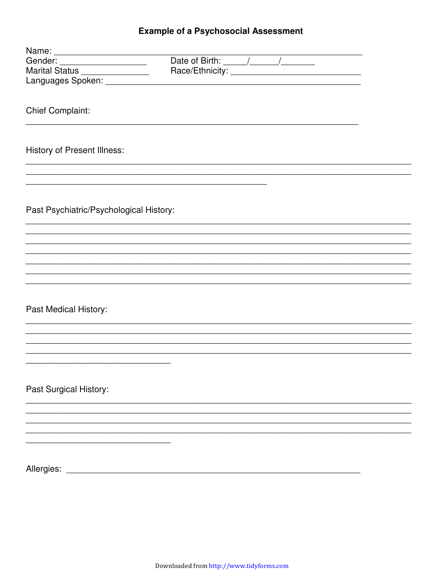### **Example of a Psychosocial Assessment**

| Name:                                   |  |  |
|-----------------------------------------|--|--|
| Gender: _____________________           |  |  |
| Marital Status ________________         |  |  |
|                                         |  |  |
|                                         |  |  |
| <b>Chief Complaint:</b>                 |  |  |
| <b>History of Present Illness:</b>      |  |  |
|                                         |  |  |
|                                         |  |  |
| Past Psychiatric/Psychological History: |  |  |
|                                         |  |  |
|                                         |  |  |
|                                         |  |  |
|                                         |  |  |
|                                         |  |  |
| Past Medical History:                   |  |  |
|                                         |  |  |
|                                         |  |  |
|                                         |  |  |
| Past Surgical History:                  |  |  |
|                                         |  |  |
|                                         |  |  |
|                                         |  |  |
|                                         |  |  |
|                                         |  |  |
| Allergies:                              |  |  |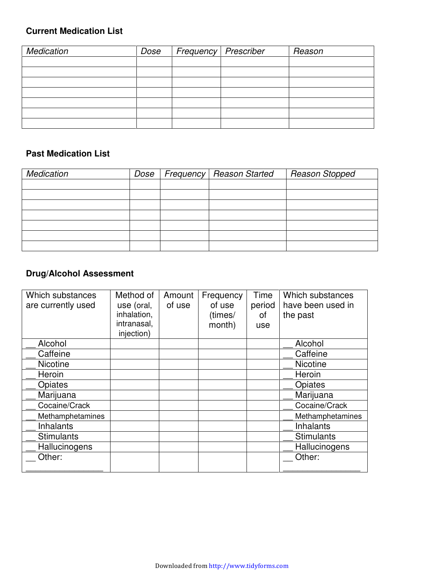### **Current Medication List**

| Medication | Dose | Frequency   Prescriber | Reason |
|------------|------|------------------------|--------|
|            |      |                        |        |
|            |      |                        |        |
|            |      |                        |        |
|            |      |                        |        |
|            |      |                        |        |
|            |      |                        |        |
|            |      |                        |        |

#### **Past Medication List**

| <b>Medication</b> |  | Dose   Frequency   Reason Started | <b>Reason Stopped</b> |
|-------------------|--|-----------------------------------|-----------------------|
|                   |  |                                   |                       |
|                   |  |                                   |                       |
|                   |  |                                   |                       |
|                   |  |                                   |                       |
|                   |  |                                   |                       |
|                   |  |                                   |                       |
|                   |  |                                   |                       |

#### **Drug/Alcohol Assessment**

| Which substances   | Method of   | Amount | Frequency | Time   | Which substances  |
|--------------------|-------------|--------|-----------|--------|-------------------|
| are currently used | use (oral,  | of use | of use    | period | have been used in |
|                    | inhalation, |        | (times/   | οt     | the past          |
|                    | intranasal, |        | month)    | use    |                   |
|                    | injection)  |        |           |        |                   |
| Alcohol            |             |        |           |        | Alcohol           |
| Caffeine           |             |        |           |        | Caffeine          |
| <b>Nicotine</b>    |             |        |           |        | <b>Nicotine</b>   |
| Heroin             |             |        |           |        | Heroin            |
| Opiates            |             |        |           |        | Opiates           |
| Marijuana          |             |        |           |        | Marijuana         |
| Cocaine/Crack      |             |        |           |        | Cocaine/Crack     |
| Methamphetamines   |             |        |           |        | Methamphetamines  |
| <b>Inhalants</b>   |             |        |           |        | <b>Inhalants</b>  |
| <b>Stimulants</b>  |             |        |           |        | <b>Stimulants</b> |
| Hallucinogens      |             |        |           |        | Hallucinogens     |
| Other:             |             |        |           |        | Other:            |
|                    |             |        |           |        |                   |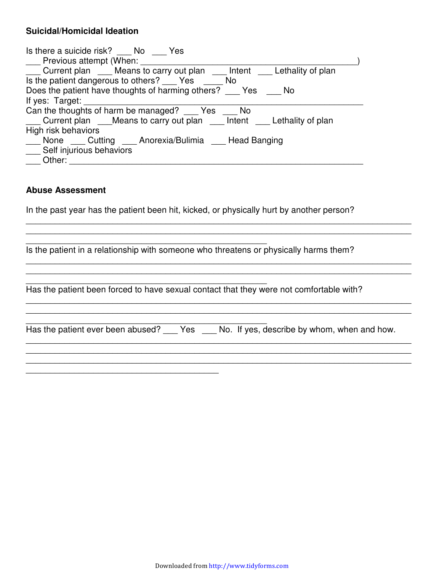#### **Suicidal/Homicidal Ideation**

| Is there a suicide risk? No Yes                                              |
|------------------------------------------------------------------------------|
| Previous attempt (When:                                                      |
| Current plan ____ Means to carry out plan ____ Intent ____ Lethality of plan |
| Is the patient dangerous to others? Yes No                                   |
| Does the patient have thoughts of harming others? Yes<br>- No                |
| If yes: Target:                                                              |
| Can the thoughts of harm be managed? Yes No                                  |
| Current plan Means to carry out plan Intent Lethality of plan                |
| High risk behaviors                                                          |
| None Cutting Anorexia/Bulimia Head Banging                                   |
| Self injurious behaviors                                                     |
| Other:                                                                       |

#### **Abuse Assessment**

In the past year has the patient been hit, kicked, or physically hurt by another person?

| Is the patient in a relationship with someone who threatens or physically harms them?   |  |
|-----------------------------------------------------------------------------------------|--|
| Has the patient been forced to have sexual contact that they were not comfortable with? |  |
|                                                                                         |  |
|                                                                                         |  |

\_\_\_\_\_\_\_\_\_\_\_\_\_\_\_\_\_\_\_\_\_\_\_\_\_\_\_\_\_\_\_\_\_\_\_\_\_\_\_\_\_\_\_\_\_\_\_\_\_\_\_\_\_\_\_\_\_\_\_\_\_\_\_\_\_\_\_\_\_\_\_\_\_\_\_\_\_\_\_\_ \_\_\_\_\_\_\_\_\_\_\_\_\_\_\_\_\_\_\_\_\_\_\_\_\_\_\_\_\_\_\_\_\_\_\_\_\_\_\_\_\_\_\_\_\_\_\_\_\_\_\_\_\_\_\_\_\_\_\_\_\_\_\_\_\_\_\_\_\_\_\_\_\_\_\_\_\_\_\_\_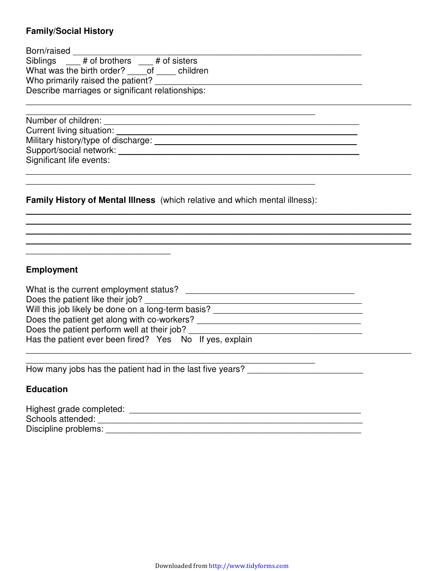#### **Family/Social History**

| Born/raised _________                                                                                                                                                                                                          |  |
|--------------------------------------------------------------------------------------------------------------------------------------------------------------------------------------------------------------------------------|--|
| Siblings # of brothers # of sisters                                                                                                                                                                                            |  |
| What was the birth order? of children                                                                                                                                                                                          |  |
| Who primarily raised the patient?                                                                                                                                                                                              |  |
| Describe marriages or significant relationships:                                                                                                                                                                               |  |
|                                                                                                                                                                                                                                |  |
|                                                                                                                                                                                                                                |  |
|                                                                                                                                                                                                                                |  |
| Support/social network: The contract of the contract of the contract of the contract of the contract of the contract of the contract of the contract of the contract of the contract of the contract of the contract of the co |  |
| Significant life events:                                                                                                                                                                                                       |  |
|                                                                                                                                                                                                                                |  |
| <b>Family History of Mental Illness</b> (which relative and which mental illness):                                                                                                                                             |  |
|                                                                                                                                                                                                                                |  |

\_\_\_\_\_\_\_\_\_\_\_\_\_\_\_\_\_\_\_\_\_\_\_\_\_\_\_\_\_\_\_\_\_\_\_\_\_\_\_\_\_\_\_\_\_\_\_\_\_\_\_\_\_\_\_\_\_\_\_\_\_\_\_\_\_\_\_\_\_\_\_\_\_\_\_\_\_\_\_\_

### **Employment**

\_\_\_\_\_\_\_\_\_\_\_\_\_\_\_\_\_\_\_\_\_\_\_\_\_\_\_\_\_\_

| What is the current employment status?                  |
|---------------------------------------------------------|
| Does the patient like their job?                        |
| Will this job likely be done on a long-term basis?      |
| Does the patient get along with co-workers?             |
| Does the patient perform well at their job?             |
| Has the patient ever been fired? Yes No If yes, explain |
|                                                         |

\_\_\_\_\_\_\_\_\_\_\_\_\_\_\_\_\_\_\_\_\_\_\_\_\_\_\_\_\_\_\_\_\_\_\_\_\_\_\_\_\_\_\_\_\_\_\_\_\_\_\_\_\_\_\_\_\_\_\_\_

How many jobs has the patient had in the last five years? \_\_\_\_\_\_\_\_\_\_\_\_\_\_\_\_\_\_\_\_\_\_

### **Education**

| Highest grade completed: |  |
|--------------------------|--|
| Schools attended:        |  |
| Discipline problems:     |  |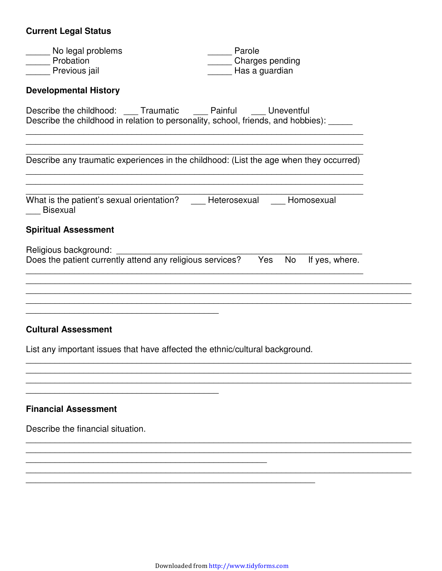# **Current Legal Status**

| _ No legal problems<br>Probation                                                                                                            | Parole<br>Charges pending |
|---------------------------------------------------------------------------------------------------------------------------------------------|---------------------------|
| Previous jail                                                                                                                               | Has a guardian            |
| <b>Developmental History</b>                                                                                                                |                           |
| Describe the childhood: _ Traumatic Painful Uneventful<br>Describe the childhood in relation to personality, school, friends, and hobbies): |                           |
| Describe any traumatic experiences in the childhood: (List the age when they occurred)                                                      |                           |
| What is the patient's sexual orientation? Heterosexual Homosexual<br>Bisexual                                                               |                           |
| <b>Spiritual Assessment</b>                                                                                                                 |                           |
| Religious background:<br>Does the patient currently attend any religious services? Yes No If yes, where.                                    |                           |
| <b>Cultural Assessment</b>                                                                                                                  |                           |
| List any important issues that have affected the ethnic/cultural background.                                                                |                           |
| <b>Financial Assessment</b>                                                                                                                 |                           |

Describe the financial situation.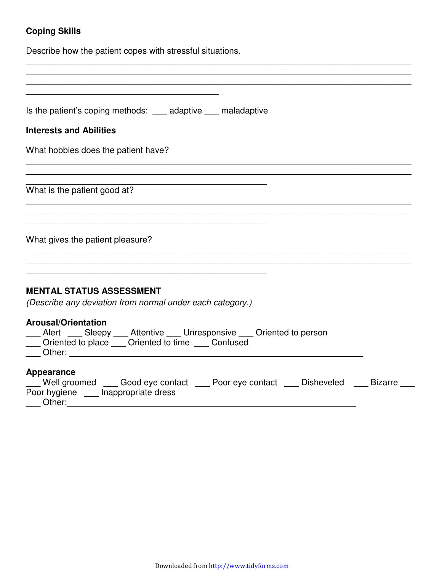## **Coping Skills**

Describe how the patient copes with stressful situations.

| Is the patient's coping methods: ____ adaptive ____ maladaptive                                                                                             |
|-------------------------------------------------------------------------------------------------------------------------------------------------------------|
| <b>Interests and Abilities</b>                                                                                                                              |
| What hobbies does the patient have?                                                                                                                         |
| What is the patient good at?                                                                                                                                |
| What gives the patient pleasure?                                                                                                                            |
| <b>MENTAL STATUS ASSESSMENT</b><br>(Describe any deviation from normal under each category.)                                                                |
| <b>Arousal/Orientation</b><br>Alert ___ Sleepy ___ Attentive ___ Unresponsive ___ Oriented to person<br>Oriented to place ___ Oriented to time ___ Confused |
| <b>Appearance</b><br>Mell groomed ____ Good eye contact ____ Poor eye contact ____ Disheveled ____ Bizarre<br>Poor hygiene lnappropriate dress<br>Other:    |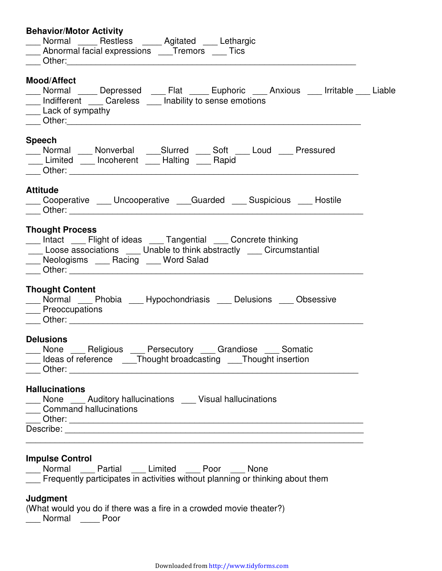| <b>Behavior/Motor Activity</b>                                                                                                                                                                                                                                                                           |
|----------------------------------------------------------------------------------------------------------------------------------------------------------------------------------------------------------------------------------------------------------------------------------------------------------|
| ____ Normal _____ Restless _____ Agitated ____ Lethargic                                                                                                                                                                                                                                                 |
| __ Abnormal facial expressions ___Tremors ___ Tics                                                                                                                                                                                                                                                       |
| Other: the contract of the contract of the contract of the contract of the contract of the contract of the contract of the contract of the contract of the contract of the contract of the contract of the contract of the con                                                                           |
| <b>Mood/Affect</b>                                                                                                                                                                                                                                                                                       |
| ___ Normal ____ Depressed ___ Flat ____ Euphoric ___ Anxious ___ Irritable ___ Liable                                                                                                                                                                                                                    |
| __ Indifferent __ Careless __ Inability to sense emotions                                                                                                                                                                                                                                                |
| __ Lack of sympathy                                                                                                                                                                                                                                                                                      |
|                                                                                                                                                                                                                                                                                                          |
| <b>Speech</b>                                                                                                                                                                                                                                                                                            |
| ___ Normal ___ Nonverbal ___Slurred ___ Soft ___ Loud ___ Pressured                                                                                                                                                                                                                                      |
| Limited ___ Incoherent ___ Halting ___ Rapid                                                                                                                                                                                                                                                             |
|                                                                                                                                                                                                                                                                                                          |
| <b>Attitude</b>                                                                                                                                                                                                                                                                                          |
| Cooperative ___ Uncooperative ___ Guarded ___ Suspicious ___ Hostile                                                                                                                                                                                                                                     |
|                                                                                                                                                                                                                                                                                                          |
| <b>Thought Process</b><br>___ Intact ___ Flight of ideas ___ Tangential ___ Concrete thinking<br>Loose associations ___ Unable to think abstractly ___ Circumstantial<br>Neologisms Racing Word Salad<br><b>Thought Content</b><br>___ Normal ___ Phobia ___ Hypochondriasis ___ Delusions ___ Obsessive |
| __ Preoccupations<br>Other: the contract of the contract of the contract of the contract of the contract of the contract of the contract of the contract of the contract of the contract of the contract of the contract of the contract of the con                                                      |
| <b>Delusions</b>                                                                                                                                                                                                                                                                                         |
| ___ None ___ Religious ___ Persecutory ___ Grandiose ___ Somatic                                                                                                                                                                                                                                         |
| Ideas of reference ______Thought broadcasting _____Thought insertion                                                                                                                                                                                                                                     |
|                                                                                                                                                                                                                                                                                                          |
| <b>Hallucinations</b>                                                                                                                                                                                                                                                                                    |
| ___ None ___ Auditory hallucinations ___ Visual hallucinations                                                                                                                                                                                                                                           |
| ___ Command hallucinations                                                                                                                                                                                                                                                                               |
|                                                                                                                                                                                                                                                                                                          |
|                                                                                                                                                                                                                                                                                                          |
| <b>Impulse Control</b><br>Normal Partial Limited Poor None<br>Frequently participates in activities without planning or thinking about them                                                                                                                                                              |

#### **Judgment**

(What would you do if there was a fire in a crowded movie theater?) \_\_\_ Normal \_\_\_\_ Poor